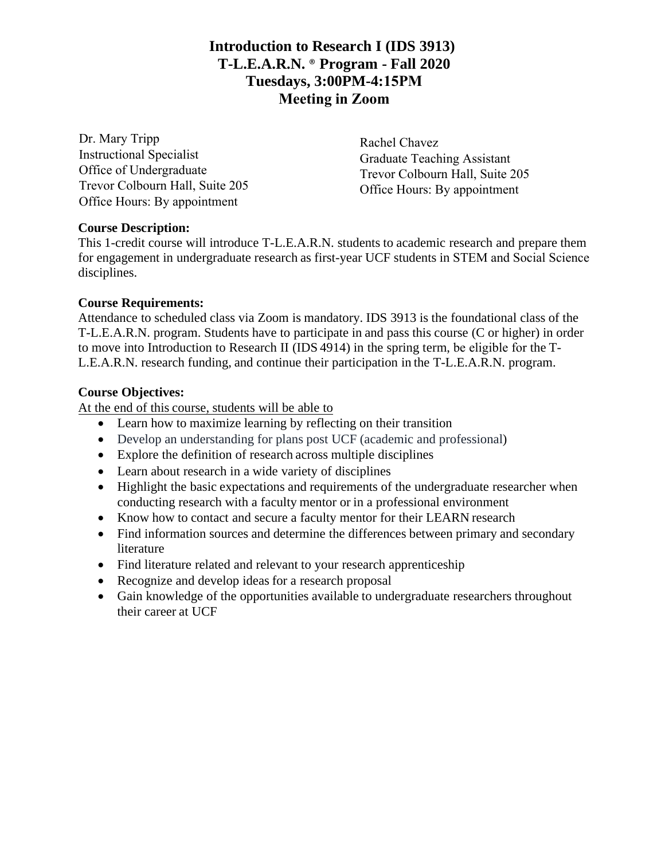## **Introduction to Research I (IDS 3913) T-L.E.A.R.N.** ® **Program - Fall 2020 Tuesdays, 3:00PM-4:15PM Meeting in Zoom**

Dr. Mary Tripp Instructional Specialist Office of Undergraduate Trevor Colbourn Hall, Suite 205 Office Hours: By appointment

Rachel Chavez Graduate Teaching Assistant Trevor Colbourn Hall, Suite 205 Office Hours: By appointment

## **Course Description:**

This 1-credit course will introduce T-L.E.A.R.N. students to academic research and prepare them for engagement in undergraduate research as first-year UCF students in STEM and Social Science disciplines.

## **Course Requirements:**

Attendance to scheduled class via Zoom is mandatory. IDS 3913 is the foundational class of the T-L.E.A.R.N. program. Students have to participate in and pass this course (C or higher) in order to move into Introduction to Research II (IDS 4914) in the spring term, be eligible for the T-L.E.A.R.N. research funding, and continue their participation in the T-L.E.A.R.N. program.

## **Course Objectives:**

At the end of this course, students will be able to

- Learn how to maximize learning by reflecting on their transition
- Develop an understanding for plans post UCF (academic and professional)
- Explore the definition of research across multiple disciplines
- Learn about research in a wide variety of disciplines
- Highlight the basic expectations and requirements of the undergraduate researcher when conducting research with a faculty mentor or in a professional environment
- Know how to contact and secure a faculty mentor for their LEARN research
- Find information sources and determine the differences between primary and secondary literature
- Find literature related and relevant to your research apprenticeship
- Recognize and develop ideas for a research proposal
- Gain knowledge of the opportunities available to undergraduate researchers throughout their career at UCF